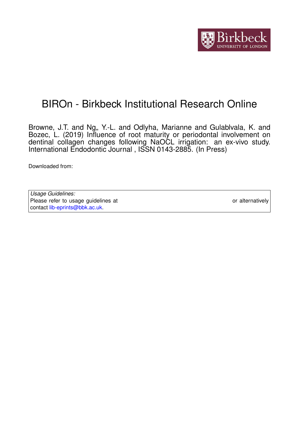

# BIROn - Birkbeck Institutional Research Online

Browne, J.T. and Ng,, Y.-L. and Odlyha, Marianne and Gulablvala, K. and Bozec, L. (2019) Influence of root maturity or periodontal involvement on dentinal collagen changes following NaOCL irrigation: an ex-vivo study. International Endodontic Journal , ISSN 0143-2885. (In Press)

Downloaded from: <https://eprints.bbk.ac.uk/id/eprint/28488/>

| Usage Guidelines:                                                           |                  |
|-----------------------------------------------------------------------------|------------------|
| Please refer to usage guidelines at https://eprints.bbk.ac.uk/policies.html | or alternatively |
| contact lib-eprints@bbk.ac.uk.                                              |                  |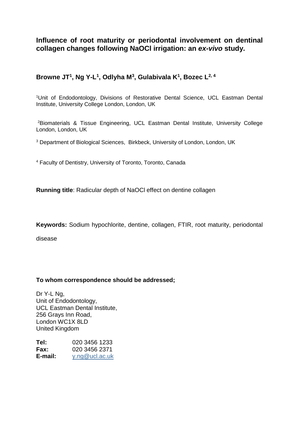**Influence of root maturity or periodontal involvement on dentinal collagen changes following NaOCl irrigation: an** *ex-vivo* **study.**

# **Browne JT<sup>1</sup> , Ng Y-L 1 , Odlyha M<sup>3</sup> , Gulabivala K<sup>1</sup> , Bozec L2, 4**

<sup>1</sup>Unit of Endodontology, Divisions of Restorative Dental Science, UCL Eastman Dental Institute, University College London, London, UK

<sup>2</sup>Biomaterials & Tissue Engineering, UCL Eastman Dental Institute, University College London, London, UK

<sup>3</sup> Department of Biological Sciences, Birkbeck, University of London, London, UK

<sup>4</sup> Faculty of Dentistry, University of Toronto, Toronto, Canada

**Running title**: Radicular depth of NaOCl effect on dentine collagen

**Keywords:** Sodium hypochlorite, dentine, collagen, FTIR, root maturity, periodontal

disease

# **To whom correspondence should be addressed;**

Dr Y-L Ng, Unit of Endodontology, UCL Eastman Dental Institute, 256 Grays Inn Road, London WC1X 8LD United Kingdom

| Tel:        | 020 3456 1233  |
|-------------|----------------|
| <b>Fax:</b> | 020 3456 2371  |
| E-mail:     | y.ng@ucl.ac.uk |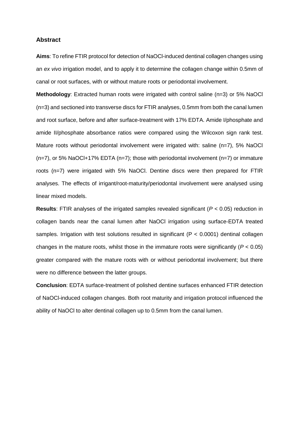# **Abstract**

**Aims**: To refine FTIR protocol for detection of NaOCl-induced dentinal collagen changes using an *ex vivo* irrigation model, and to apply it to determine the collagen change within 0.5mm of canal or root surfaces, with or without mature roots or periodontal involvement.

**Methodology:** Extracted human roots were irrigated with control saline (n=3) or 5% NaOCl (n=3) and sectioned into transverse discs for FTIR analyses, 0.5mm from both the canal lumen and root surface, before and after surface-treatment with 17% EDTA. Amide I/phosphate and amide II/phosphate absorbance ratios were compared using the Wilcoxon sign rank test. Mature roots without periodontal involvement were irrigated with: saline (n=7), 5% NaOCl  $(n=7)$ , or 5% NaOCI+17% EDTA  $(n=7)$ ; those with periodontal involvement  $(n=7)$  or immature roots (n=7) were irrigated with 5% NaOCl. Dentine discs were then prepared for FTIR analyses. The effects of irrigant/root-maturity/periodontal involvement were analysed using linear mixed models.

**Results**: FTIR analyses of the irrigated samples revealed significant (*P* < 0.05) reduction in collagen bands near the canal lumen after NaOCl irrigation using surface-EDTA treated samples. Irrigation with test solutions resulted in significant (P < 0.0001) dentinal collagen changes in the mature roots, whilst those in the immature roots were significantly (*P* < 0.05) greater compared with the mature roots with or without periodontal involvement; but there were no difference between the latter groups.

**Conclusion**: EDTA surface-treatment of polished dentine surfaces enhanced FTIR detection of NaOCl-induced collagen changes. Both root maturity and irrigation protocol influenced the ability of NaOCl to alter dentinal collagen up to 0.5mm from the canal lumen.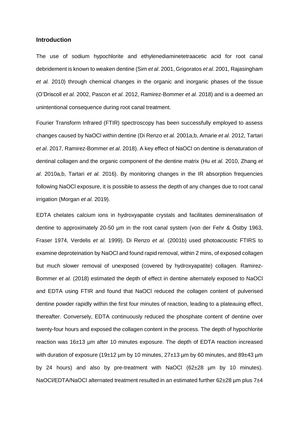# **Introduction**

The use of sodium hypochlorite and ethylenediaminetetraacetic acid for root canal debridement is known to weaken dentine (Sim *et al*. 2001, Grigoratos *et al*. 2001, Rajasingham *et al.* 2010) through chemical changes in the organic and inorganic phases of the tissue (O'Driscoll *et al.* 2002, Pascon *et al.* 2012, Ramirez-Bommer *et al*. 2018) and is a deemed an unintentional consequence during root canal treatment.

Fourier Transform Infrared (FTIR) spectroscopy has been successfully employed to assess changes caused by NaOCl within dentine (Di Renzo *et al.* 2001a,b, Amarie *et al*. 2012, Tartari *et al*. 2017, Ramirez-Bommer *et al*. 2018). A key effect of NaOCl on dentine is denaturation of dentinal collagen and the organic component of the dentine matrix (Hu *et al.* 2010, Zhang *et al*. 2010a,b, Tartari *et al.* 2016). By monitoring changes in the IR absorption frequencies following NaOCl exposure, it is possible to assess the depth of any changes due to root canal irrigation (Morgan *et al*. 2019).

EDTA chelates calcium ions in hydroxyapatite crystals and facilitates demineralisation of dentine to approximately 20-50 µm in the root canal system (von der Fehr & Östby 1963, Fraser 1974, Verdelis *et al.* 1999). Di Renzo *et al.* (2001b) used photoacoustic FTIRS to examine deproteination by NaOCl and found rapid removal, within 2 mins, of exposed collagen but much slower removal of unexposed (covered by hydroxyapatite) collagen. Ramirez-Bommer *et al.* (2018) estimated the depth of effect in dentine alternately exposed to NaOCl and EDTA using FTIR and found that NaOCl reduced the collagen content of pulverised dentine powder rapidly within the first four minutes of reaction, leading to a plateauing effect, thereafter. Conversely, EDTA continuously reduced the phosphate content of dentine over twenty-four hours and exposed the collagen content in the process. The depth of hypochlorite reaction was 16±13 µm after 10 minutes exposure. The depth of EDTA reaction increased with duration of exposure (19 $\pm$ 12 µm by 10 minutes, 27 $\pm$ 13 µm by 60 minutes, and 89 $\pm$ 43 µm by 24 hours) and also by pre-treatment with NaOCl (62±28 µm by 10 minutes). NaOCl/EDTA/NaOCl alternated treatment resulted in an estimated further 62±28 µm plus 7±4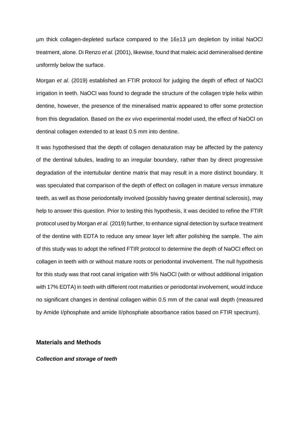µm thick collagen-depleted surface compared to the 16±13 µm depletion by initial NaOCl treatment, alone. Di Renzo *et al.* (2001), likewise, found that maleic acid demineralised dentine uniformly below the surface.

Morgan *et al*. (2019) established an FTIR protocol for judging the depth of effect of NaOCl irrigation in teeth. NaOCl was found to degrade the structure of the collagen triple helix within dentine, however, the presence of the mineralised matrix appeared to offer some protection from this degradation. Based on the *ex vivo* experimental model used, the effect of NaOCl on dentinal collagen extended to at least 0.5 mm into dentine.

It was hypothesised that the depth of collagen denaturation may be affected by the patency of the dentinal tubules, leading to an irregular boundary, rather than by direct progressive degradation of the intertubular dentine matrix that may result in a more distinct boundary. It was speculated that comparison of the depth of effect on collagen in mature *versus* immature teeth, as well as those periodontally involved (possibly having greater dentinal sclerosis), may help to answer this question. Prior to testing this hypothesis, it was decided to refine the FTIR protocol used by Morgan *et al.* (2019) further, to enhance signal detection by surface treatment of the dentine with EDTA to reduce any smear layer left after polishing the sample. The aim of this study was to adopt the refined FTIR protocol to determine the depth of NaOCl effect on collagen in teeth with or without mature roots or periodontal involvement. The null hypothesis for this study was that root canal irrigation with 5% NaOCl (with or without additional irrigation with 17% EDTA) in teeth with different root maturities or periodontal involvement, would induce no significant changes in dentinal collagen within 0.5 mm of the canal wall depth (measured by Amide I/phosphate and amide II/phosphate absorbance ratios based on FTIR spectrum).

# **Materials and Methods**

### *Collection and storage of teeth*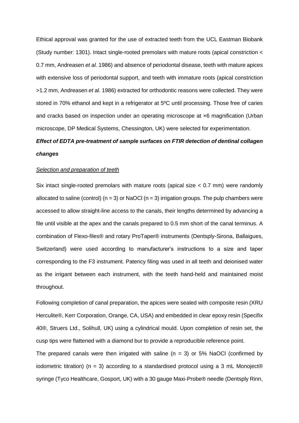Ethical approval was granted for the use of extracted teeth from the UCL Eastman Biobank (Study number: 1301). Intact single-rooted premolars with mature roots (apical constriction < 0.7 mm, Andreasen *et al.* 1986) and absence of periodontal disease, teeth with mature apices with extensive loss of periodontal support, and teeth with immature roots (apical constriction >1.2 mm, Andreasen *et al.* 1986) extracted for orthodontic reasons were collected. They were stored in 70% ethanol and kept in a refrigerator at 5ºC until processing. Those free of caries and cracks based on inspection under an operating microscope at ×6 magnification (Urban microscope, DP Medical Systems, Chessington, UK) were selected for experimentation.

# *Effect of EDTA pre-treatment of sample surfaces on FTIR detection of dentinal collagen changes*

# *Selection and preparation of teeth*

Six intact single-rooted premolars with mature roots (apical size < 0.7 mm) were randomly allocated to saline (control) ( $n = 3$ ) or NaOCl ( $n = 3$ ) irrigation groups. The pulp chambers were accessed to allow straight-line access to the canals, their lengths determined by advancing a file until visible at the apex and the canals prepared to 0.5 mm short of the canal terminus. A combination of Flexo-files® and rotary ProTaper® instruments (Dentsply-Sirona, Ballaigues, Switzerland) were used according to manufacturer's instructions to a size and taper corresponding to the F3 instrument. Patency filing was used in all teeth and deionised water as the irrigant between each instrument, with the teeth hand-held and maintained moist throughout.

Following completion of canal preparation, the apices were sealed with composite resin (XRU Herculite®, Kerr Corporation, Orange, CA, USA) and embedded in clear epoxy resin (Specifix 40®, Struers Ltd., Solihull, UK) using a cylindrical mould. Upon completion of resin set, the cusp tips were flattened with a diamond bur to provide a reproducible reference point.

The prepared canals were then irrigated with saline ( $n = 3$ ) or 5% NaOCl (confirmed by iodometric titration) (n = 3) according to a standardised protocol using a 3 mL Monoject® syringe (Tyco Healthcare, Gosport, UK) with a 30 gauge Maxi-Probe® needle (Dentsply Rinn,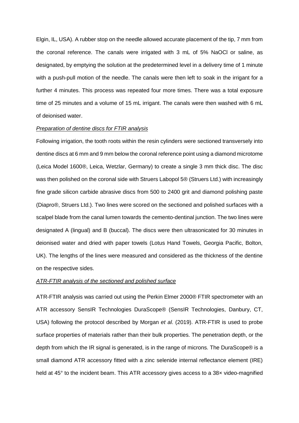Elgin, IL, USA). A rubber stop on the needle allowed accurate placement of the tip, 7 mm from the coronal reference. The canals were irrigated with 3 mL of 5% NaOCl or saline, as designated, by emptying the solution at the predetermined level in a delivery time of 1 minute with a push-pull motion of the needle. The canals were then left to soak in the irrigant for a further 4 minutes. This process was repeated four more times. There was a total exposure time of 25 minutes and a volume of 15 mL irrigant. The canals were then washed with 6 mL of deionised water.

#### *Preparation of dentine discs for FTIR analysis*

Following irrigation, the tooth roots within the resin cylinders were sectioned transversely into dentine discs at 6 mm and 9 mm below the coronal reference point using a diamond microtome (Leica Model 1600®, Leica, Wetzlar, Germany) to create a single 3 mm thick disc. The disc was then polished on the coronal side with Struers Labopol 5® (Struers Ltd.) with increasingly fine grade silicon carbide abrasive discs from 500 to 2400 grit and diamond polishing paste (Diapro®, Struers Ltd.). Two lines were scored on the sectioned and polished surfaces with a scalpel blade from the canal lumen towards the cemento-dentinal junction. The two lines were designated A (lingual) and B (buccal). The discs were then ultrasonicated for 30 minutes in deionised water and dried with paper towels (Lotus Hand Towels, Georgia Pacific, Bolton, UK). The lengths of the lines were measured and considered as the thickness of the dentine on the respective sides.

# *ATR-FTIR analysis of the sectioned and polished surface*

ATR-FTIR analysis was carried out using the Perkin Elmer 2000® FTIR spectrometer with an ATR accessory SensIR Technologies DuraScope® (SensIR Technologies, Danbury, CT, USA) following the protocol described by Morgan *et al*. (2019). ATR-FTIR is used to probe surface properties of materials rather than their bulk properties. The penetration depth, or the depth from which the IR signal is generated, is in the range of microns. The DuraScope® is a small diamond ATR accessory fitted with a zinc selenide internal reflectance element (IRE) held at 45° to the incident beam. This ATR accessory gives access to a 38x video-magnified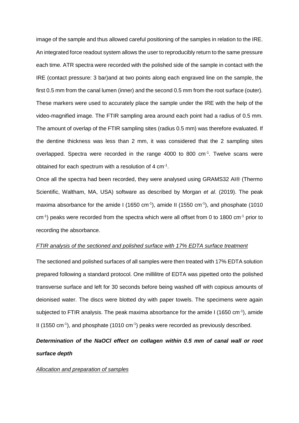image of the sample and thus allowed careful positioning of the samples in relation to the IRE. An integrated force readout system allows the user to reproducibly return to the same pressure each time. ATR spectra were recorded with the polished side of the sample in contact with the IRE (contact pressure: 3 bar)and at two points along each engraved line on the sample, the first 0.5 mm from the canal lumen (inner) and the second 0.5 mm from the root surface (outer). These markers were used to accurately place the sample under the IRE with the help of the video-magnified image. The FTIR sampling area around each point had a radius of 0.5 mm. The amount of overlap of the FTIR sampling sites (radius 0.5 mm) was therefore evaluated. If the dentine thickness was less than 2 mm, it was considered that the 2 sampling sites overlapped. Spectra were recorded in the range 4000 to 800 cm<sup>-1</sup>. Twelve scans were obtained for each spectrum with a resolution of 4 cm<sup>-1</sup>.

Once all the spectra had been recorded, they were analysed using GRAMS32 AI® (Thermo Scientific, Waltham, MA, USA) software as described by Morgan *et al*. (2019). The peak maxima absorbance for the amide I (1650 cm<sup>-1</sup>), amide II (1550 cm<sup>-1</sup>), and phosphate (1010 cm<sup>-1</sup>) peaks were recorded from the spectra which were all offset from 0 to 1800 cm<sup>-1</sup> prior to recording the absorbance.

### *FTIR analysis of the sectioned and polished surface with 17% EDTA surface treatment*

The sectioned and polished surfaces of all samples were then treated with 17% EDTA solution prepared following a standard protocol. One millilitre of EDTA was pipetted onto the polished transverse surface and left for 30 seconds before being washed off with copious amounts of deionised water. The discs were blotted dry with paper towels. The specimens were again subjected to FTIR analysis. The peak maxima absorbance for the amide I (1650 cm<sup>-1</sup>), amide II (1550 cm<sup>-1</sup>), and phosphate (1010 cm<sup>-1</sup>) peaks were recorded as previously described.

# *Determination of the NaOCl effect on collagen within 0.5 mm of canal wall or root surface depth*

#### *Allocation and preparation of samples*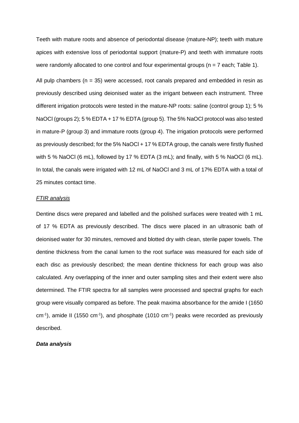Teeth with mature roots and absence of periodontal disease (mature-NP); teeth with mature apices with extensive loss of periodontal support (mature-P) and teeth with immature roots were randomly allocated to one control and four experimental groups (n = 7 each; Table 1).

All pulp chambers ( $n = 35$ ) were accessed, root canals prepared and embedded in resin as previously described using deionised water as the irrigant between each instrument. Three different irrigation protocols were tested in the mature-NP roots: saline (control group 1); 5 % NaOCI (groups 2); 5 % EDTA + 17 % EDTA (group 5). The 5% NaOCI protocol was also tested in mature-P (group 3) and immature roots (group 4). The irrigation protocols were performed as previously described; for the 5% NaOCl + 17 % EDTA group, the canals were firstly flushed with 5 % NaOCl (6 mL), followed by 17 % EDTA (3 mL); and finally, with 5 % NaOCl (6 mL). In total, the canals were irrigated with 12 mL of NaOCl and 3 mL of 17% EDTA with a total of 25 minutes contact time.

### *FTIR analysis*

Dentine discs were prepared and labelled and the polished surfaces were treated with 1 mL of 17 % EDTA as previously described. The discs were placed in an ultrasonic bath of deionised water for 30 minutes, removed and blotted dry with clean, sterile paper towels. The dentine thickness from the canal lumen to the root surface was measured for each side of each disc as previously described; the mean dentine thickness for each group was also calculated. Any overlapping of the inner and outer sampling sites and their extent were also determined. The FTIR spectra for all samples were processed and spectral graphs for each group were visually compared as before. The peak maxima absorbance for the amide I (1650  $cm<sup>-1</sup>$ ), amide II (1550 cm<sup>-1</sup>), and phosphate (1010 cm<sup>-1</sup>) peaks were recorded as previously described.

# *Data analysis*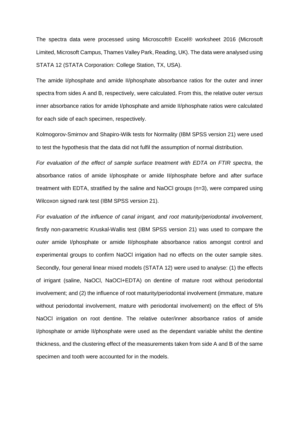The spectra data were processed using Microscoft® Excel® worksheet 2016 (Microsoft Limited, Microsoft Campus, Thames Valley Park, Reading, UK). The data were analysed using STATA 12 (STATA Corporation: College Station, TX, USA).

The amide I/phosphate and amide II/phosphate absorbance ratios for the outer and inner spectra from sides A and B, respectively, were calculated. From this, the relative outer *versus* inner absorbance ratios for amide I/phosphate and amide II/phosphate ratios were calculated for each side of each specimen, respectively.

Kolmogorov-Smirnov and Shapiro-Wilk tests for Normality (IBM SPSS version 21) were used to test the hypothesis that the data did not fulfil the assumption of normal distribution.

*For evaluation of the effect of sample surface treatment with EDTA on FTIR spectra*, the absorbance ratios of amide I/phosphate or amide II/phosphate before and after surface treatment with EDTA, stratified by the saline and NaOCl groups (n=3), were compared using Wilcoxon signed rank test (IBM SPSS version 21).

*For evaluation of the influence of canal irrigant, and root maturity/periodontal involvement*, firstly non-parametric Kruskal-Wallis test (IBM SPSS version 21) was used to compare the *outer* amide I/phosphate or amide II/phosphate absorbance ratios amongst control and experimental groups to confirm NaOCl irrigation had no effects on the outer sample sites. Secondly, four general linear mixed models (STATA 12) were used to analyse: (1) the effects of irrigant (saline, NaOCl, NaOCl+EDTA) on dentine of mature root without periodontal involvement; and (2) the influence of root maturity/periodontal involvement (immature, mature without periodontal involvement, mature with periodontal involvement) on the effect of 5% NaOCl irrigation on root dentine. The relative outer/inner absorbance ratios of amide I/phosphate or amide II/phosphate were used as the dependant variable whilst the dentine thickness, and the clustering effect of the measurements taken from side A and B of the same specimen and tooth were accounted for in the models.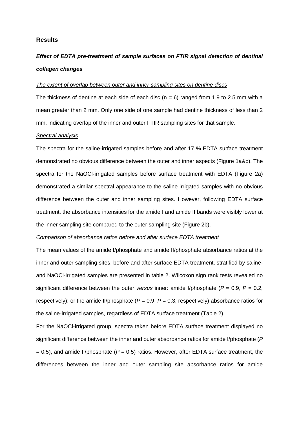# **Results**

# *Effect of EDTA pre-treatment of sample surfaces on FTIR signal detection of dentinal collagen changes*

### *The extent of overlap between outer and inner sampling sites on dentine discs*

The thickness of dentine at each side of each disc ( $n = 6$ ) ranged from 1.9 to 2.5 mm with a mean greater than 2 mm. Only one side of one sample had dentine thickness of less than 2 mm, indicating overlap of the inner and outer FTIR sampling sites for that sample.

# *Spectral analysis*

The spectra for the saline-irrigated samples before and after 17 % EDTA surface treatment demonstrated no obvious difference between the outer and inner aspects (Figure 1a&b). The spectra for the NaOCl-irrigated samples before surface treatment with EDTA (Figure 2a) demonstrated a similar spectral appearance to the saline-irrigated samples with no obvious difference between the outer and inner sampling sites. However, following EDTA surface treatment, the absorbance intensities for the amide I and amide II bands were visibly lower at the inner sampling site compared to the outer sampling site (Figure 2b).

### *Comparison of absorbance ratios before and after surface EDTA treatment*

The mean values of the amide I/phosphate and amide II/phosphate absorbance ratios at the inner and outer sampling sites, before and after surface EDTA treatment, stratified by salineand NaOCl-irrigated samples are presented in table 2. Wilcoxon sign rank tests revealed no significant difference between the outer *versus* inner: amide I/phosphate (*P* = 0.9, *P* = 0.2, respectively); or the amide II/phosphate ( $P = 0.9$ ,  $P = 0.3$ , respectively) absorbance ratios for the saline-irrigated samples, regardless of EDTA surface treatment (Table 2).

For the NaOCl-irrigated group, spectra taken before EDTA surface treatment displayed no significant difference between the inner and outer absorbance ratios for amide I/phosphate (*P*  $= 0.5$ ), and amide II/phosphate ( $P = 0.5$ ) ratios. However, after EDTA surface treatment, the differences between the inner and outer sampling site absorbance ratios for amide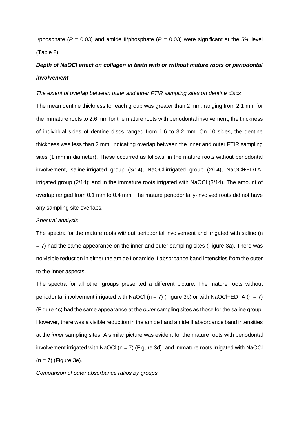I/phosphate ( $P = 0.03$ ) and amide II/phosphate ( $P = 0.03$ ) were significant at the 5% level (Table 2).

# *Depth of NaOCl effect on collagen in teeth with or without mature roots or periodontal involvement*

# *The extent of overlap between outer and inner FTIR sampling sites on dentine discs*

The mean dentine thickness for each group was greater than 2 mm, ranging from 2.1 mm for the immature roots to 2.6 mm for the mature roots with periodontal involvement; the thickness of individual sides of dentine discs ranged from 1.6 to 3.2 mm. On 10 sides, the dentine thickness was less than 2 mm, indicating overlap between the inner and outer FTIR sampling sites (1 mm in diameter). These occurred as follows: in the mature roots without periodontal involvement, saline-irrigated group (3/14), NaOCl-irrigated group (2/14), NaOCl+EDTAirrigated group (2/14); and in the immature roots irrigated with NaOCl (3/14). The amount of overlap ranged from 0.1 mm to 0.4 mm. The mature periodontally-involved roots did not have any sampling site overlaps.

#### *Spectral analysis*

The spectra for the mature roots without periodontal involvement and irrigated with saline (n = 7) had the same appearance on the inner and outer sampling sites (Figure 3a). There was no visible reduction in either the amide I or amide II absorbance band intensities from the outer to the inner aspects.

The spectra for all other groups presented a different picture. The mature roots without periodontal involvement irrigated with NaOCl ( $n = 7$ ) (Figure 3b) or with NaOCl+EDTA ( $n = 7$ ) (Figure 4c) had the same appearance at the *outer* sampling sites as those for the saline group. However, there was a visible reduction in the amide I and amide II absorbance band intensities at the *inner* sampling sites. A similar picture was evident for the mature roots with periodontal involvement irrigated with NaOCI ( $n = 7$ ) (Figure 3d), and immature roots irrigated with NaOCI  $(n = 7)$  (Figure 3e).

# *Comparison of outer absorbance ratios by groups*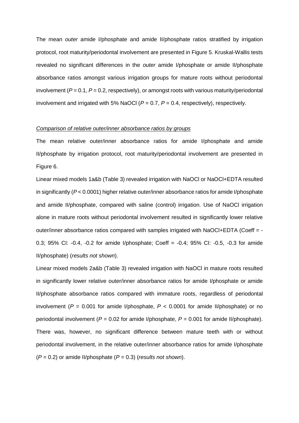The mean *outer* amide I/phosphate and amide II/phosphate ratios stratified by irrigation protocol, root maturity/periodontal involvement are presented in Figure 5. Kruskal-Wallis tests revealed no significant differences in the *outer* amide I/phosphate or amide II/phosphate absorbance ratios amongst various irrigation groups for mature roots without periodontal involvement (*P* = 0.1, *P* = 0.2, respectively), or amongst roots with various maturity/periodontal involvement and irrigated with 5% NaOCl  $(P = 0.7, P = 0.4,$  respectively), respectively.

# *Comparison of relative outer/inner absorbance ratios by groups*

The mean relative outer/inner absorbance ratios for amide I/phosphate and amide II/phosphate by irrigation protocol, root maturity/periodontal involvement are presented in Figure 6.

Linear mixed models 1a&b (Table 3) revealed irrigation with NaOCl or NaOCl+EDTA resulted in significantly (*P* < 0.0001) higher relative outer/inner absorbance ratios for amide I/phosphate and amide II/phosphate, compared with saline (control) irrigation. Use of NaOCl irrigation alone in mature roots without periodontal involvement resulted in significantly lower relative outer/inner absorbance ratios compared with samples irrigated with NaOCl+EDTA (Coeff = -0.3; 95% CI: -0.4, -0.2 for amide I/phosphate; Coeff = -0.4; 95% CI: -0.5, -0.3 for amide II/phosphate) (*results not shown*).

Linear mixed models 2a&b (Table 3) revealed irrigation with NaOCl in mature roots resulted in significantly lower relative outer/inner absorbance ratios for amide I/phosphate or amide II/phosphate absorbance ratios compared with immature roots, regardless of periodontal involvement ( $P = 0.001$  for amide I/phosphate,  $P < 0.0001$  for amide II/phosphate) or no periodontal involvement (*P* = 0.02 for amide I/phosphate, *P* = 0.001 for amide II/phosphate). There was, however, no significant difference between mature teeth with or without periodontal involvement, in the relative outer/inner absorbance ratios for amide I/phosphate (*P* = 0.2) or amide II/phosphate (*P* = 0.3) (*results not shown*).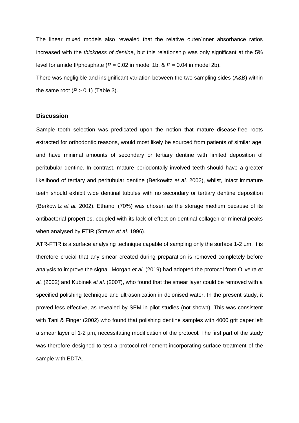The linear mixed models also revealed that the relative outer/inner absorbance ratios increased with the *thickness of dentine*, but this relationship was only significant at the 5% level for amide II/phosphate ( $P = 0.02$  in model 1b,  $\& P = 0.04$  in model 2b).

There was negligible and insignificant variation between the two sampling sides (A&B) within the same root  $(P > 0.1)$  (Table 3).

# **Discussion**

Sample tooth selection was predicated upon the notion that mature disease-free roots extracted for orthodontic reasons, would most likely be sourced from patients of similar age, and have minimal amounts of secondary or tertiary dentine with limited deposition of peritubular dentine. In contrast, mature periodontally involved teeth should have a greater likelihood of tertiary and peritubular dentine (Berkowitz *et al.* 2002), whilst, intact immature teeth should exhibit wide dentinal tubules with no secondary or tertiary dentine deposition (Berkowitz *et al.* 2002). Ethanol (70%) was chosen as the storage medium because of its antibacterial properties, coupled with its lack of effect on dentinal collagen or mineral peaks when analysed by FTIR (Strawn *et al*. 1996).

ATR-FTIR is a surface analysing technique capable of sampling only the surface 1-2  $\mu$ m. It is therefore crucial that any smear created during preparation is removed completely before analysis to improve the signal. Morgan *et al*. (2019) had adopted the protocol from Oliveira *et al.* (2002) and Kubinek *et al*. (2007), who found that the smear layer could be removed with a specified polishing technique and ultrasonication in deionised water. In the present study, it proved less effective, as revealed by SEM in pilot studies (not shown). This was consistent with Tani & Finger (2002) who found that polishing dentine samples with 4000 grit paper left a smear layer of 1-2 µm, necessitating modification of the protocol. The first part of the study was therefore designed to test a protocol-refinement incorporating surface treatment of the sample with EDTA.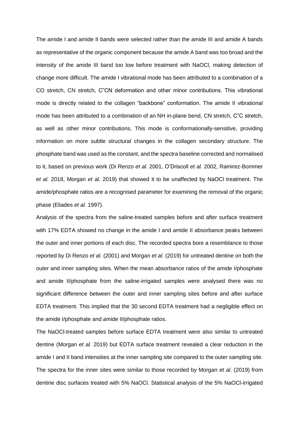The amide I and amide II bands were selected rather than the amide III and amide A bands as representative of the organic component because the amide A band was too broad and the intensity of the amide III band too low before treatment with NaOCl, making detection of change more difficult. The amide I vibrational mode has been attributed to a combination of a CO stretch, CN stretch, C"CN deformation and other minor contributions. This vibrational mode is directly related to the collagen "backbone" conformation. The amide II vibrational mode has been attributed to a combination of an NH in-plane bend, CN stretch, C"C stretch, as well as other minor contributions. This mode is conformationally-sensitive, providing information on more subtle structural changes in the collagen secondary structure. The phosphate band was used as the constant, and the spectra baseline corrected and normalised to it, based on previous work (Di Renzo *et al.* 2001, O'Driscoll *et al.* 2002, Ramirez-Bommer *et al.* 2018, Morgan *et al*. 2019) that showed it to be unaffected by NaOCl treatment. The amide/phosphate ratios are a recognised parameter for examining the removal of the organic phase (Eliades *et al.* 1997).

Analysis of the spectra from the saline-treated samples before and after surface treatment with 17% EDTA showed no change in the amide I and amide II absorbance peaks between the outer and inner portions of each disc. The recorded spectra bore a resemblance to those reported by Di Renzo *et al*. (2001) and Morgan *et al.* (2019) for untreated dentine on both the outer and inner sampling sites. When the mean absorbance ratios of the amide I/phosphate and amide II/phosphate from the saline-irrigated samples were analysed there was no significant difference between the outer and inner sampling sites before and after surface EDTA treatment. This implied that the 30 second EDTA treatment had a negligible effect on the amide I/phosphate and amide II/phosphate ratios.

The NaOCl-treated samples before surface EDTA treatment were also similar to untreated dentine (Morgan *et al.* 2019) but EDTA surface treatment revealed a clear reduction in the amide I and II band intensities at the inner sampling site compared to the outer sampling site. The spectra for the inner sites were similar to those recorded by Morgan *et al*. (2019) from dentine disc surfaces treated with 5% NaOCl. Statistical analysis of the 5% NaOCl-irrigated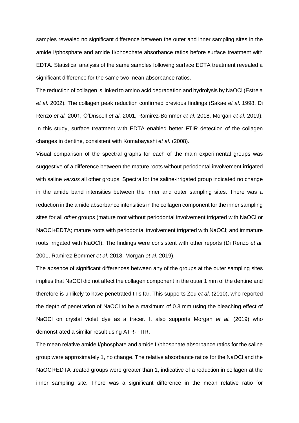samples revealed no significant difference between the outer and inner sampling sites in the amide I/phosphate and amide II/phosphate absorbance ratios before surface treatment with EDTA. Statistical analysis of the same samples following surface EDTA treatment revealed a significant difference for the same two mean absorbance ratios.

The reduction of collagen is linked to amino acid degradation and hydrolysis by NaOCl (Estrela *et al*. 2002). The collagen peak reduction confirmed previous findings (Sakae *et al*. 1998, Di Renzo *et al.* 2001, O'Driscoll *et al*. 2001, Ramirez-Bommer *et al*. 2018, Morgan *et al.* 2019). In this study, surface treatment with EDTA enabled better FTIR detection of the collagen changes in dentine, consistent with Komabayashi *et al*. (2008).

Visual comparison of the spectral graphs for each of the main experimental groups was suggestive of a difference between the mature roots without periodontal involvement irrigated with saline *versus* all other groups. Spectra for the saline-irrigated group indicated no change in the amide band intensities between the inner and outer sampling sites. There was a reduction in the amide absorbance intensities in the collagen component for the inner sampling sites for all *other* groups (mature root without periodontal involvement irrigated with NaOCl or NaOCl+EDTA; mature roots with periodontal involvement irrigated with NaOCl; and immature roots irrigated with NaOCl). The findings were consistent with other reports (Di Renzo *et al*. 2001, Ramirez-Bommer *et al*. 2018, Morgan *et al*. 2019).

The absence of significant differences between any of the groups at the outer sampling sites implies that NaOCl did not affect the collagen component in the outer 1 mm of the dentine and therefore is unlikely to have penetrated this far. This supports Zou *et al*. (2010), who reported the depth of penetration of NaOCl to be a maximum of 0.3 mm using the bleaching effect of NaOCl on crystal violet dye as a tracer. It also supports Morgan *et al.* (2019) who demonstrated a similar result using ATR-FTIR.

The mean relative amide I/phosphate and amide II/phosphate absorbance ratios for the saline group were approximately 1, no change. The relative absorbance ratios for the NaOCl and the NaOCl+EDTA treated groups were greater than 1, indicative of a reduction in collagen at the inner sampling site. There was a significant difference in the mean relative ratio for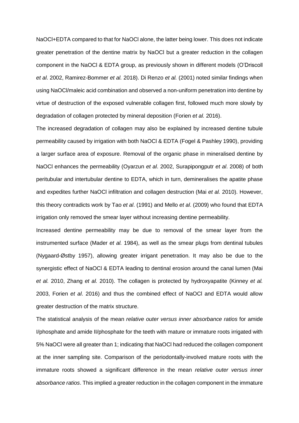NaOCl+EDTA compared to that for NaOCl alone, the latter being lower. This does not indicate greater penetration of the dentine matrix by NaOCl but a greater reduction in the collagen component in the NaOCl & EDTA group, as previously shown in different models (O'Driscoll *et al*. 2002, Ramirez-Bommer *et al.* 2018). Di Renzo *et al.* (2001) noted similar findings when using NaOCl/maleic acid combination and observed a non-uniform penetration into dentine by virtue of destruction of the exposed vulnerable collagen first, followed much more slowly by degradation of collagen protected by mineral deposition (Forien *et al.* 2016).

The increased degradation of collagen may also be explained by increased dentine tubule permeability caused by irrigation with both NaOCl & EDTA (Fogel & Pashley 1990), providing a larger surface area of exposure. Removal of the organic phase in mineralised dentine by NaOCl enhances the permeability (Oyarzun *et al*. 2002, Surapipongputr *et al*. 2008) of both peritubular and intertubular dentine to EDTA, which in turn, demineralises the apatite phase and expedites further NaOCl infiltration and collagen destruction (Mai *et al.* 2010). However, this theory contradicts work by Tao *et al*. (1991) and Mello *et al*. (2009) who found that EDTA irrigation only removed the smear layer without increasing dentine permeability.

Increased dentine permeability may be due to removal of the smear layer from the instrumented surface (Mader *et al.* 1984), as well as the smear plugs from dentinal tubules (Nygaard-Østby 1957), allowing greater irrigant penetration. It may also be due to the synergistic effect of NaOCl & EDTA leading to dentinal erosion around the canal lumen (Mai *et al.* 2010, Zhang *et al.* 2010). The collagen is protected by hydroxyapatite (Kinney *et al.* 2003, Forien *et al*. 2016) and thus the combined effect of NaOCl and EDTA would allow greater destruction of the matrix structure.

The statistical analysis of the mean *relative outer versus inner absorbance ratios* for amide I/phosphate and amide II/phosphate for the teeth with mature or immature roots irrigated with 5% NaOCl were all greater than 1; indicating that NaOCl had reduced the collagen component at the inner sampling site. Comparison of the periodontally-involved mature roots with the immature roots showed a significant difference in the mean *relative outer versus inner absorbance ratios*. This implied a greater reduction in the collagen component in the immature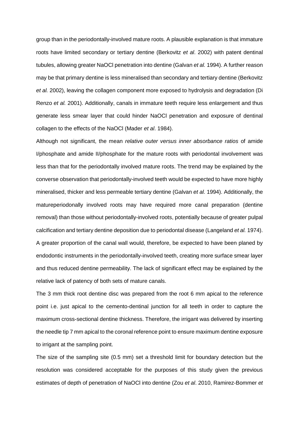group than in the periodontally-involved mature roots. A plausible explanation is that immature roots have limited secondary or tertiary dentine (Berkovitz *et al*. 2002) with patent dentinal tubules, allowing greater NaOCl penetration into dentine (Galvan *et al.* 1994). A further reason may be that primary dentine is less mineralised than secondary and tertiary dentine (Berkovitz *et al.* 2002), leaving the collagen component more exposed to hydrolysis and degradation (Di Renzo *et al.* 2001). Additionally, canals in immature teeth require less enlargement and thus generate less smear layer that could hinder NaOCl penetration and exposure of dentinal collagen to the effects of the NaOCl (Mader *et al*. 1984).

Although not significant, the mean *relative outer versus inner absorbance ratios* of amide I/phosphate and amide II/phosphate for the mature roots with periodontal involvement was less than that for the periodontally involved mature roots. The trend may be explained by the converse observation that periodontally-involved teeth would be expected to have more highly mineralised, thicker and less permeable tertiary dentine (Galvan *et al.* 1994). Additionally, the matureperiodonally involved roots may have required more canal preparation (dentine removal) than those without periodontally-involved roots, potentially because of greater pulpal calcification and tertiary dentine deposition due to periodontal disease (Langeland *et al.* 1974). A greater proportion of the canal wall would, therefore, be expected to have been planed by endodontic instruments in the periodontally-involved teeth, creating more surface smear layer and thus reduced dentine permeability. The lack of significant effect may be explained by the relative lack of patency of both sets of mature canals.

The 3 mm thick root dentine disc was prepared from the root 6 mm apical to the reference point i.e. just apical to the cemento-dentinal junction for all teeth in order to capture the maximum cross-sectional dentine thickness. Therefore, the irrigant was delivered by inserting the needle tip 7 mm apical to the coronal reference point to ensure maximum dentine exposure to irrigant at the sampling point.

The size of the sampling site (0.5 mm) set a threshold limit for boundary detection but the resolution was considered acceptable for the purposes of this study given the previous estimates of depth of penetration of NaOCl into dentine (Zou *et al*. 2010, Ramirez-Bommer *et*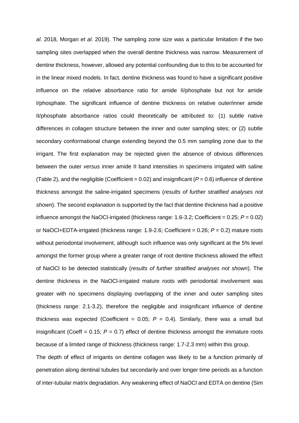*al.* 2018, Morgan *et al*. 2019). The sampling zone size was a particular limitation if the two sampling sites overlapped when the overall dentine thickness was narrow. Measurement of dentine thickness, however, allowed any potential confounding due to this to be accounted for in the linear mixed models. In fact, dentine thickness was found to have a significant positive influence on the relative absorbance ratio for amide II/phosphate but not for amide I/phosphate. The significant influence of dentine thickness on relative outer/inner amide II/phosphate absorbance ratios could theoretically be attributed to: (1) subtle native differences in collagen structure between the inner and outer sampling sites; or (2) subtle secondary conformational change extending beyond the 0.5 mm sampling zone due to the irrigant. The first explanation may be rejected given the absence of obvious differences between the outer *versus* inner amide II band intensities in specimens irrigated with saline (Table 2), and the negligible (Coefficient =  $0.02$ ) and insignificant ( $P = 0.6$ ) influence of dentine thickness amongst the saline-irrigated specimens (*results of further stratified analyses not shown*). The second explanation is supported by the fact that dentine thickness had a positive influence amongst the NaOCI-irrigated (thickness range:  $1.6-3.2$ ; Coefficient =  $0.25$ ;  $P = 0.02$ ) or NaOCl+EDTA-irrigated (thickness range: 1.9-2.6; Coefficient = 0.26; *P* = 0.2) mature roots without periodontal involvement, although such influence was only significant at the 5% level amongst the former group where a greater range of root dentine thickness allowed the effect of NaOCl to be detected statistically (*results of further stratified analyses not shown*). The dentine thickness in the NaOCl-irrigated mature roots with periodontal involvement was greater with no specimens displaying overlapping of the inner and outer sampling sites (thickness range: 2.1-3.2), therefore the negligible and insignificant influence of dentine thickness was expected (Coefficient =  $0.05$ ;  $P = 0.4$ ). Similarly, there was a small but insignificant (Coeff =  $0.15$ ;  $P = 0.7$ ) effect of dentine thickness amongst the immature roots because of a limited range of thickness (thickness range: 1.7-2.3 mm) within this group.

The depth of effect of irrigants on dentine collagen was likely to be a function primarily of penetration along dentinal tubules but secondarily and over longer time periods as a function of inter-tubular matrix degradation. Any weakening effect of NaOCl and EDTA on dentine (Sim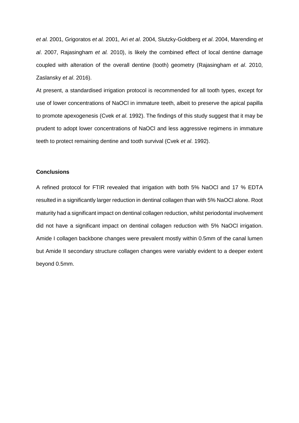*et al.* 2001, Grigoratos *et al.* 2001, Ari *et al*. 2004, Slutzky-Goldberg *et al*. 2004, Marending *et al*. 2007, Rajasingham *et al.* 2010), is likely the combined effect of local dentine damage coupled with alteration of the overall dentine (tooth) geometry (Rajasingham *et al*. 2010, Zaslansky *et al*. 2016).

At present, a standardised irrigation protocol is recommended for all tooth types, except for use of lower concentrations of NaOCl in immature teeth, albeit to preserve the apical papilla to promote apexogenesis (Cvek *et al*. 1992). The findings of this study suggest that it may be prudent to adopt lower concentrations of NaOCl and less aggressive regimens in immature teeth to protect remaining dentine and tooth survival (Cvek *et al*. 1992).

# **Conclusions**

A refined protocol for FTIR revealed that irrigation with both 5% NaOCl and 17 % EDTA resulted in a significantly larger reduction in dentinal collagen than with 5% NaOCl alone. Root maturity had a significant impact on dentinal collagen reduction, whilst periodontal involvement did not have a significant impact on dentinal collagen reduction with 5% NaOCl irrigation. Amide I collagen backbone changes were prevalent mostly within 0.5mm of the canal lumen but Amide II secondary structure collagen changes were variably evident to a deeper extent beyond 0.5mm.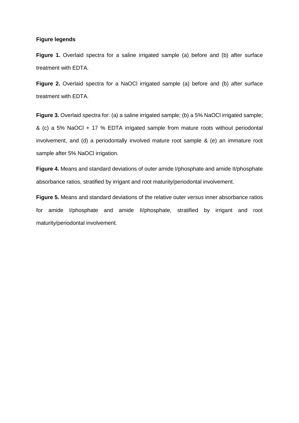# **Figure legends**

**Figure 1.** Overlaid spectra for a saline irrigated sample (a) before and (b) after surface treatment with EDTA.

**Figure 2.** Overlaid spectra for a NaOCl irrigated sample (a) before and (b) after surface treatment with EDTA.

**Figure 3.** Overlaid spectra for: (a) a saline irrigated sample; (b) a 5% NaOCl irrigated sample; & (c) a 5% NaOCl + 17 % EDTA irrigated sample from mature roots without periodontal involvement, and (d) a periodontally involved mature root sample & (e) an immature root sample after 5% NaOCl irrigation.

**Figure 4.** Means and standard deviations of outer amide I/phosphate and amide II/phosphate absorbance ratios, stratified by irrigant and root maturity/periodontal involvement.

**Figure 5.** Means and standard deviations of the relative outer *versus* inner absorbance ratios for amide I/phosphate and amide II/phosphate, stratified by irrigant and root maturity/periodontal involvement.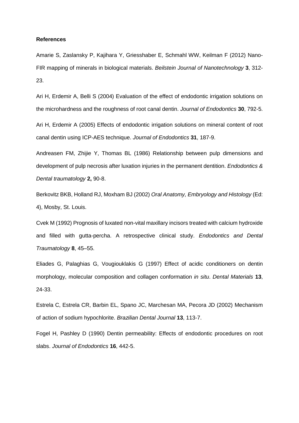#### **References**

Amarie S, Zaslansky P, Kajihara Y, Griesshaber E, Schmahl WW, Keilman F (2012) Nano-FIR mapping of minerals in biological materials. *Beilstein Journal of Nanotechnology* **3**, 312- 23.

Ari H, Erdemir A, Belli S (2004) Evaluation of the effect of endodontic irrigation solutions on the microhardness and the roughness of root canal dentin. *Journal of Endodontics* **30**, 792-5.

Ari H, Erdemir A (2005) Effects of endodontic irrigation solutions on mineral content of root canal dentin using ICP-AES technique. *Journal of Endodontics* **31**, 187-9.

Andreasen FM, Zhijie Y, Thomas BL (1986) Relationship between pulp dimensions and development of pulp necrosis after luxation injuries in the permanent dentition. *Endodontics & Dental traumatology* **2,** 90-8.

Berkovitz BKB, Holland RJ, Moxham BJ (2002) *Oral Anatomy, Embryology and Histology* (Ed: 4), Mosby, St. Louis.

Cvek M (1992) Prognosis of luxated non-vital maxillary incisors treated with calcium hydroxide and filled with gutta-percha. A retrospective clinical study. *Endodontics and Dental Traumatology* **8**, 45–55.

Eliades G, Palaghias G, Vougiouklakis G (1997) Effect of acidic conditioners on dentin morphology, molecular composition and collagen conformation *in situ*. *Dental Materials* **13**, 24-33.

Estrela C, Estrela CR, Barbin EL, Spano JC, Marchesan MA, Pecora JD (2002) Mechanism of action of sodium hypochlorite. *Brazilian Dental Journal* **13**, 113-7.

Fogel H, Pashley D (1990) Dentin permeability: Effects of endodontic procedures on root slabs. *Journal of Endodontics* **16**, 442-5.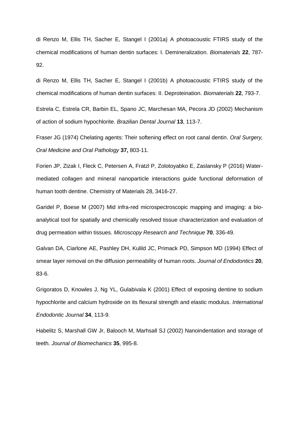di Renzo M, Ellis TH, Sacher E, Stangel I (2001a) A photoacoustic FTIRS study of the chemical modifications of human dentin surfaces: I. Demineralization. *Biomaterials* **22**, 787- 92.

di Renzo M, Ellis TH, Sacher E, Stangel I (2001b) A photoacoustic FTIRS study of the chemical modifications of human dentin surfaces: II. Deproteination. *Biomaterials* **22**, 793-7.

Estrela C, Estrela CR, Barbin EL, Spano JC, Marchesan MA, Pecora JD (2002) Mechanism of action of sodium hypochlorite. *Brazilian Dental Journal* **13**, 113-7.

Fraser JG (1974) Chelating agents: Their softening effect on root canal dentin. *Oral Surgery, Oral Medicine and Oral Pathology* **37,** 803-11.

Forien JP, Zizak I, Fleck C, Petersen A, Fratzl P, Zolotoyabko E, Zaslansky P (2016) Watermediated collagen and mineral nanoparticle interactions guide functional deformation of human tooth dentine. Chemistry of Materials 28, 3416-27.

Garidel P, Boese M (2007) Mid infra-red microspectroscopic mapping and imaging: a bioanalytical tool for spatially and chemically resolved tissue characterization and evaluation of drug permeation within tissues. *Microscopy Research and Technique* **70**, 336-49.

Galvan DA, Ciarlone AE, Pashley DH, Kulild JC, Primack PD, Simpson MD (1994) Effect of smear layer removal on the diffusion permeability of human roots. *Journal of Endodontics* **20**, 83-6.

Grigoratos D, Knowles J, Ng YL, Gulabivala K (2001) Effect of exposing dentine to sodium hypochlorite and calcium hydroxide on its flexural strength and elastic modulus. *International Endodontic Journal* **34**, 113-9.

Habelitz S, Marshall GW Jr, Balooch M, Marhsall SJ (2002) Nanoindentation and storage of teeth. *Journal of Biomechanics* **35**, 995-8.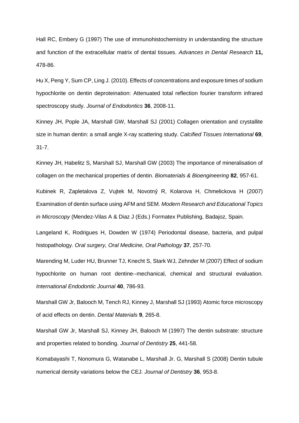[Hall RC,](http://www.ncbi.nlm.nih.gov/sites/entrez?Db=pubmed&Cmd=Search&Term=%22Hall%20RC%22%5BAuthor%5D&itool=EntrezSystem2.PEntrez.Pubmed.Pubmed_ResultsPanel.Pubmed_DiscoveryPanel.Pubmed_RVAbstractPlus) [Embery G](http://www.ncbi.nlm.nih.gov/sites/entrez?Db=pubmed&Cmd=Search&Term=%22Embery%20G%22%5BAuthor%5D&itool=EntrezSystem2.PEntrez.Pubmed.Pubmed_ResultsPanel.Pubmed_DiscoveryPanel.Pubmed_RVAbstractPlus) (1997) The use of immunohistochemistry in understanding the structure and function of the extracellular matrix of dental tissues. *Advances in Dental Research* **11,**  478-86.

Hu X, Peng Y, Sum CP, Ling J. (2010). Effects of concentrations and exposure times of sodium hypochlorite on dentin deproteination: Attenuated total reflection fourier transform infrared spectroscopy study. *Journal of Endodontics* **36**, 2008-11.

Kinney JH, Pople JA, Marshall GW, Marshall SJ (2001) [Collagen orientation and crystallite](http://www.ncbi.nlm.nih.gov/pubmed/11685431?ordinalpos=3&itool=EntrezSystem2.PEntrez.Pubmed.Pubmed_ResultsPanel.Pubmed_DefaultReportPanel.Pubmed_RVDocSum)  [size in human dentin: a small angle X-ray scattering study.](http://www.ncbi.nlm.nih.gov/pubmed/11685431?ordinalpos=3&itool=EntrezSystem2.PEntrez.Pubmed.Pubmed_ResultsPanel.Pubmed_DefaultReportPanel.Pubmed_RVDocSum) *Calcified Tissues International* **69**, 31-7.

Kinney JH, Habelitz S, Marshall SJ, Marshall GW (2003) The importance of mineralisation of collagen on the mechanical properties of dentin. *Biomaterials & Bioengineering* **82**, 957-61.

Kubinek R, Zapletalova Z, Vujtek M, Novotnỷ R, Kolarova H, Chmelickova H (2007) Examination of dentin surface using AFM and SEM. *Modern Research and Educational Topics in Microscopy* (Mendez-Vilas A & Diaz J (Eds.) Formatex Publishing, Badajoz, Spain.

Langeland K, Rodrigues H, Dowden W (1974) Periodontal disease, bacteria, and pulpal histopathology. *Oral surgery, Oral Medicine, Oral Pathology* **37**, 257-70.

Marending M, Luder HU, Brunner TJ, Knecht S, Stark WJ, Zehnder M (2007) Effect of sodium hypochlorite on human root dentine--mechanical, chemical and structural evaluation. *International Endodontic Journal* **40**, 786-93.

Marshall GW Jr, Balooch M, Tench RJ, Kinney J, Marshall SJ (1993) Atomic force microscopy of acid effects on dentin. *Dental Materials* **9**, 265-8.

Marshall GW Jr, Marshall SJ, Kinney JH, Balooch M (1997) The dentin substrate: structure and properties related to bonding. *Journal of Dentistry* **25**, 441-58.

Komabayashi T, Nonomura G, Watanabe L, Marshall Jr. G, Marshall S (2008) Dentin tubule numerical density variations below the CEJ. *Journal of Dentistry* **36**, 953-8.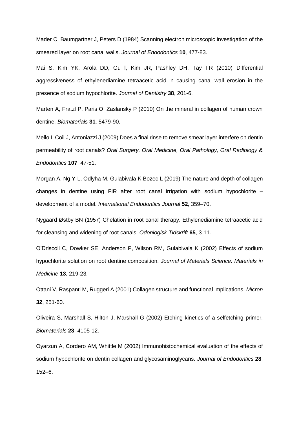Mader C, Baumgartner J, Peters D (1984) Scanning electron microscopic investigation of the smeared layer on root canal walls. *Journal of Endodontics* **10**, 477-83.

Mai S, Kim YK, Arola DD, Gu l, Kim JR, Pashley DH, Tay FR (2010) Differential aggressiveness of ethylenediamine tetraacetic acid in causing canal wall erosion in the presence of sodium hypochlorite. *Journal of Dentistry* **38**, 201-6.

Marten A, Fratzl P, Paris O, Zaslansky P (2010) On the mineral in collagen of human crown dentine. *Biomaterials* **31**, 5479-90.

Mello I, Coil J, Antoniazzi J (2009) Does a final rinse to remove smear layer interfere on dentin permeability of root canals? *Oral Surgery, Oral Medicine, Oral Pathology, Oral Radiology & Endodontics* **107**, 47-51.

Morgan A, Ng Y-L, Odlyha M, Gulabivala K Bozec L (2019) The nature and depth of collagen changes in dentine using FIR after root canal irrigation with sodium hypochlorite – development of a model. *International Endodontics Journal* **52**, 359–70.

Nygaard Østby BN (1957) Chelation in root canal therapy. Ethylenediamine tetraacetic acid for cleansing and widening of root canals. *Odonlogisk Tidskrift* **65**, 3-11.

O'Driscoll C, [Dowker SE,](http://www.ncbi.nlm.nih.gov/sites/entrez?Db=pubmed&Cmd=Search&Term=%22Dowker%20SE%22%5BAuthor%5D&itool=EntrezSystem2.PEntrez.Pubmed.Pubmed_ResultsPanel.Pubmed_DiscoveryPanel.Pubmed_RVAbstractPlus) [Anderson P,](http://www.ncbi.nlm.nih.gov/sites/entrez?Db=pubmed&Cmd=Search&Term=%22Anderson%20P%22%5BAuthor%5D&itool=EntrezSystem2.PEntrez.Pubmed.Pubmed_ResultsPanel.Pubmed_DiscoveryPanel.Pubmed_RVAbstractPlus) [Wilson RM,](http://www.ncbi.nlm.nih.gov/sites/entrez?Db=pubmed&Cmd=Search&Term=%22Wilson%20RM%22%5BAuthor%5D&itool=EntrezSystem2.PEntrez.Pubmed.Pubmed_ResultsPanel.Pubmed_DiscoveryPanel.Pubmed_RVAbstractPlus) [Gulabivala K](http://www.ncbi.nlm.nih.gov/sites/entrez?Db=pubmed&Cmd=Search&Term=%22Gulabivala%20K%22%5BAuthor%5D&itool=EntrezSystem2.PEntrez.Pubmed.Pubmed_ResultsPanel.Pubmed_DiscoveryPanel.Pubmed_RVAbstractPlus) (2002) Effects of sodium hypochlorite solution on root dentine composition. *Journal of Materials Science. Materials in Medicine* **13**, 219-23.

Ottani V, Raspanti M, Ruggeri A (2001) Collagen structure and functional implications. *Micron* **32**, 251-60.

Oliveira S, Marshall S, Hilton J, Marshall G (2002) Etching kinetics of a selfetching primer. *Biomaterials* **23**, 4105-12.

Oyarzun A, Cordero AM, Whittle M (2002) Immunohistochemical evaluation of the effects of sodium hypochlorite on dentin collagen and glycosaminoglycans. *Journal of Endodontics* **28**, 152–6.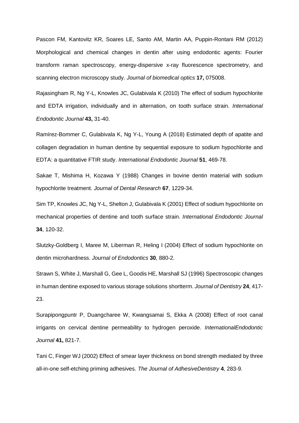Pascon FM, Kantovitz KR, Soares LE, Santo AM, Martin AA, Puppin-Rontani RM (2012) Morphological and chemical changes in dentin after using endodontic agents: Fourier transform raman spectroscopy, energy-dispersive x-ray fluorescence spectrometry, and scanning electron microscopy study. *Journal of biomedical optics* **17,** 075008.

Rajasingham R, Ng Y-L, Knowles JC, Gulabivala K (2010) The effect of sodium hypochlorite and EDTA irrigation, individually and in alternation, on tooth surface strain. *International Endodontic Journal* **43,** 31-40.

Ramírez-Bommer C, Gulabivala K, Ng Y-L, Young A (2018) Estimated depth of apatite and collagen degradation in human dentine by sequential exposure to sodium hypochlorite and EDTA: a quantitative FTIR study. *International Endodontic Journal* **51**, 469-78.

Sakae T, Mishima H, Kozawa Y (1988) Changes in bovine dentin material with sodium hypochlorite treatment. *Journal of Dental Research* **67**, 1229-34.

Sim TP, Knowles JC, Ng Y-L, Shelton J, Gulabivala K (2001) Effect of sodium hypochlorite on mechanical properties of dentine and tooth surface strain. *International Endodontic Journal* **34**, 120-32.

Slutzky-Goldberg I, Maree M, Liberman R, Heling I (2004) Effect of sodium hypochlorite on dentin microhardness. *Journal of Endodontics* **30**, 880-2.

Strawn S, White J, Marshall G, Gee L, Goodis HE, Marshall SJ (1996) Spectroscopic changes in human dentine exposed to various storage solutions shortterm. *Journal of Dentistry* **24**, 417- 23.

Surapipongpuntr P, Duangcharee W, Kwangsamai S, Ekka A (2008) Effect of root canal irrigants on cervical dentine permeability to hydrogen peroxide. *InternationalEndodontic Journal* **41,** 821-7.

Tani C, Finger WJ (2002) Effect of smear layer thickness on bond strength mediated by three all-in-one self-etching priming adhesives. *The Journal of AdhesiveDentistry* **4**, 283-9.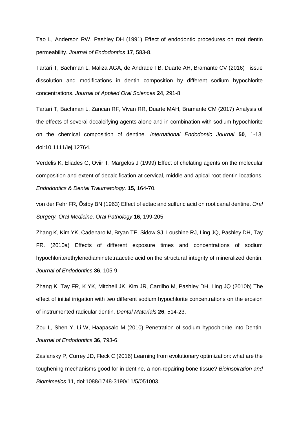Tao L, Anderson RW, Pashley DH (1991) Effect of endodontic procedures on root dentin permeability. *Journal of Endodontics* **17**, 583-8.

Tartari T, Bachman L, Maliza AGA, de Andrade FB, Duarte AH, Bramante CV (2016) Tissue dissolution and modifications in dentin composition by different sodium hypochlorite concentrations. *Journal of Applied Oral Sciences* **24**, 291-8.

Tartari T, Bachman L, Zancan RF, Vivan RR, Duarte MAH, Bramante CM (2017) Analysis of the effects of several decalcifying agents alone and in combination with sodium hypochlorite on the chemical composition of dentine. *International Endodontic Journal* **50**, 1-13; doi:10.1111/iej.12764.

Verdelis K, Eliades G, Oviir T, Margelos J (1999) Effect of chelating agents on the molecular composition and extent of decalcification at cervical, middle and apical root dentin locations. *Endodontics & Dental Traumatology*. **15,** 164-70.

von der Fehr FR, Östby BN (1963) Effect of edtac and sulfuric acid on root canal dentine. *Oral Surgery, Oral Medicine, Oral Pathology* **16,** 199-205.

Zhang K, Kim YK, Cadenaro M, Bryan TE, Sidow SJ, Loushine RJ, Ling JQ, Pashley DH, Tay FR. (2010a) Effects of different exposure times and concentrations of sodium hypochlorite/ethylenediaminetetraacetic acid on the structural integrity of mineralized dentin. *Journal of Endodontics* **36**, 105-9.

Zhang K, Tay FR, K YK, Mitchell JK, Kim JR, Carrilho M, Pashley DH, Ling JQ (2010b) The effect of initial irrigation with two different sodium hypochlorite concentrations on the erosion of instrumented radicular dentin. *Dental Materials* **26**, 514-23.

Zou L, Shen Y, Li W, Haapasalo M (2010) Penetration of sodium hypochlorite into Dentin. *Journal of Endodontics* **36**, 793-6.

Zaslansky P, Currey JD, Fleck C (2016) Learning from evolutionary optimization: what are the toughening mechanisms good for in dentine, a non-repairing bone tissue? *Bioinspiration and Biomimetics* **11**, doi:1088/1748-3190/11/5/051003.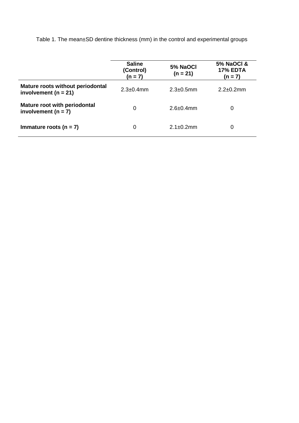|                                                              | <b>Saline</b><br>(Control)<br>$(n = 7)$ | 5% NaOCI<br>$(n = 21)$ | <b>5% NaOCI &amp;</b><br><b>17% EDTA</b><br>$(n = 7)$ |
|--------------------------------------------------------------|-----------------------------------------|------------------------|-------------------------------------------------------|
| Mature roots without periodontal<br>involvement ( $n = 21$ ) | $2.3 \pm 0.4$ mm                        | $2.3 \pm 0.5$ mm       | $2.2 \pm 0.2$ mm                                      |
| Mature root with periodontal<br>involvement ( $n = 7$ )      | 0                                       | $2.6 \pm 0.4$ mm       | 0                                                     |
| Immature roots $(n = 7)$                                     | 0                                       | $2.1 \pm 0.2$ mm       | 0                                                     |

Table 1. The mean±SD dentine thickness (mm) in the control and experimental groups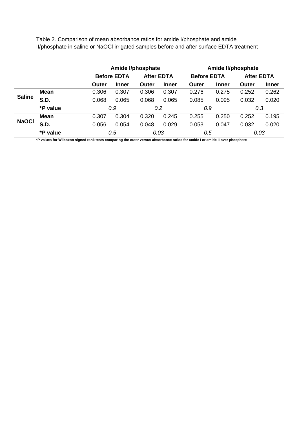Table 2. Comparison of mean absorbance ratios for amide I/phosphate and amide II/phosphate in saline or NaOCl irrigated samples before and after surface EDTA treatment

|               |                 |       | <b>Amide I/phosphate</b> |       |                   |              | Amide II/phosphate |       |                   |  |  |
|---------------|-----------------|-------|--------------------------|-------|-------------------|--------------|--------------------|-------|-------------------|--|--|
|               |                 |       | <b>Before EDTA</b>       |       | <b>After EDTA</b> |              | <b>Before EDTA</b> |       | <b>After EDTA</b> |  |  |
|               |                 | Outer | <b>Inner</b>             | Outer | <b>Inner</b>      | <b>Outer</b> | <b>Inner</b>       | Outer | <b>Inner</b>      |  |  |
| <b>Saline</b> | Mean            | 0.306 | 0.307                    | 0.306 | 0.307             | 0.276        | 0.275              | 0.252 | 0.262             |  |  |
|               | <b>S.D.</b>     | 0.068 | 0.065                    | 0.068 | 0.065             | 0.085        | 0.095              | 0.032 | 0.020             |  |  |
|               | <i>*P</i> value |       | 0.9                      |       | 0.2               | 0.9          |                    |       | 0.3               |  |  |
| <b>NaOCI</b>  | Mean            | 0.307 | 0.304                    | 0.320 | 0.245             | 0.255        | 0.250              | 0.252 | 0.195             |  |  |
|               | <b>S.D.</b>     | 0.056 | 0.054                    | 0.048 | 0.029             | 0.053        | 0.047              | 0.032 | 0.020             |  |  |
|               | <i>*P</i> value |       | 0.5                      |       | 0.03              |              | 0.5                |       | 0.03              |  |  |

**\*P values for Wilcoxon signed rank tests comparing the outer versus absorbance ratios for amide I or amide II over phosphate**